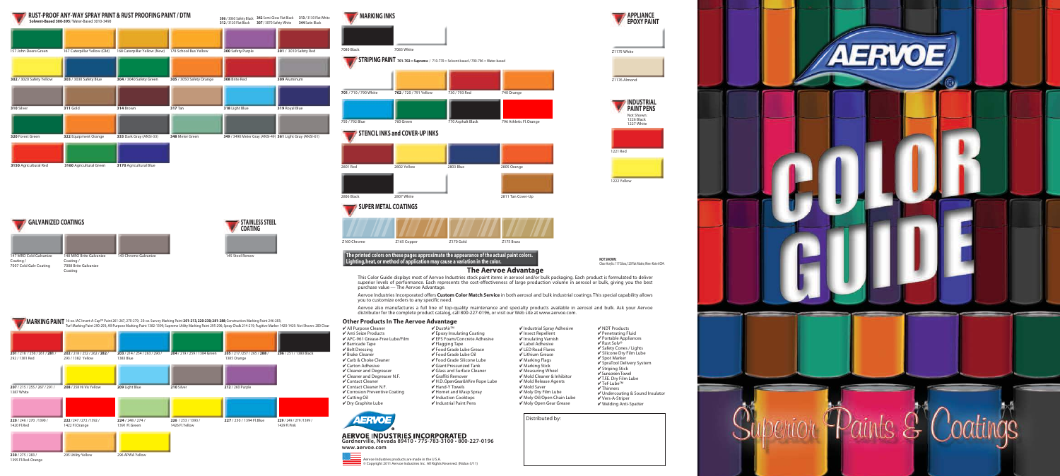Distributed by:





|                                             | Turf Marking Paint 290-293; All-Purpose Marking Paint 1382-1399; Supreme Utility Marking Paint 295-296; Spray Chalk 214-219; Fugitive Marker 1420-1429. Not Shown: 200 Clear |                                            |                                       |                                              |                                          |  |
|---------------------------------------------|------------------------------------------------------------------------------------------------------------------------------------------------------------------------------|--------------------------------------------|---------------------------------------|----------------------------------------------|------------------------------------------|--|
|                                             |                                                                                                                                                                              |                                            |                                       |                                              |                                          |  |
| 201/216/256/261/281/<br>292 / 1381 Red      | 202 / 218 / 252 / 262 / 282 /<br>293 / 1382 Yellow                                                                                                                           | 203 / 214 / 254 / 263 / 290 /<br>1383 Blue | 204 / 219 / 259 / 1384 Green          | 205 / 217 / 257 / 265 / 288 /<br>1385 Orange | 206 / 251 / 1380 Black                   |  |
|                                             |                                                                                                                                                                              |                                            |                                       |                                              |                                          |  |
| 207 / 215 / 255 / 267 / 291 /<br>1387 White | 208 / 258 Hi Vis Yellow                                                                                                                                                      | 209 Light Blue                             | 210 Silver                            | 212 / 260 Purple                             |                                          |  |
|                                             |                                                                                                                                                                              |                                            |                                       |                                              |                                          |  |
| 220 / 246 / 270 / 1390 /<br>1420 Fl.Red     | 222/247/272/1392/<br>1422 Fl.Orange                                                                                                                                          | 224/248/274/<br>1391 Fl.Green              | 226 / 253 / 1393 /<br>1426 Fl. Yellow | 227 / 250 / 1394 Fl.Blue                     | 229 / 249 / 279 / 1399 /<br>1429 Fl.Pink |  |
|                                             |                                                                                                                                                                              |                                            |                                       |                                              |                                          |  |

**MARKING PAINT** 16-oz. IAC Invert-A-Cap™ Paint 261-267, 270-279; 20-oz. Survey Marking Paint 201-213, 220-230; 281-288; Construction Marking Paint 246-283;

295 Utility Yellow 296 APWA Yellow

**230** / 275 / 283 / 1395 Fl. Red-Orange





1221 Red Not Shown: 1226 Black 1227 White

 $V$  Epoxy Insulating Coating ✔ EPS Foam/Concrete Adhesive 1222 Yellow

NOT SHOWN:<br>Clear Acrylic: 117 Gloss, 120 Flat Matte; Kleer Kote 6004.

✔ Hand-Y Towels ✔ Hornet and Wasp Spray ✔ Induction Cooktops  $\overline{\mathsf{V}}$  Industrial Paint Pens

## **The Aervoe Advantage**

- $V$  Industrial Spray Adhesi
- ✔ Insect Repellent
- ✔ Insulating Varnish
- ✔ Label Adhesive
- ✔ LED Road Flares
- ✔ Lithium Grease ✔ Marking Flags
- ✔ Marking Stick
- ✔ Measuring Wheel
- ✔ Mold Cleaner & Inhibito
- ✔ Mold Release Agents
- ✔ Mold Saver
- $\boldsymbol{\mathsf{v}}$  Moly Dry Film Lube
- ✔ Moly Oil/Open Chain L
- ✔ Moly Open Gear Grease

**AERVOE INDUSTRIES INCORPORATED Gardnerville, Nevada 89410 • 775-783-3100 • 800-227-0196 www.aervoe.com**



This Color Guide displays most of Aervoe Industries stock paint items in aerosol and/or bulk packaging. Each product is formulated to deliver superior levels of performance. Each represents the cost-effectiveness of large production volume in aerosol or bulk, giving you the best purchase value — The Aervoe Advantage.

Aervoe Industries Incorporated offers **Custom Color Match Service** in both aerosol and bulk industrial coatings. This special capability allows you to customize orders to any specific need.

Aervoe also manufactures a full line of top-quality maintenance and specialty products available in aerosol and bulk. Ask your Aervoe distributor for the complete product catalog, call 800-227-0196, or visit our Web site at www.aervoe.com.

| ive  | $\sqrt{}$ NDT Products           |
|------|----------------------------------|
|      |                                  |
|      | $\sqrt{}$ Penetrating Fluid      |
|      | ✔ Portable Appliances            |
|      | √ Rust Solv®                     |
|      | ✔ Safety Cones / Lights          |
|      | ✔ Silicone Dry Film Lube         |
|      | ✔ Spot Marker                    |
|      |                                  |
|      | √ SpraTool Delivery System       |
|      | ✔ Striping Stick                 |
|      | ✔ Sunscreen Towel                |
| or   | √T.F.E. Dry Film Lube            |
|      | √Tef-Lube™                       |
|      | $\sqrt{}$ Thinners               |
|      |                                  |
|      | ✔ Undercoating & Sound Insulator |
| ube. | ✔ Vers-A-Striper                 |
| e    | ✔ Welding Anti-Spatter           |
|      |                                  |



- ✔ All Purpose Cleaner ✔ Anti Seize Products
- ✔ APC-961 Grease-Free Lube/Film
- ✔ Barricade Tape
- ✔ Belt Dressing
- ✔ Brake Cleaner ✔ Carb & Choke Cleaner
- ✔ Carton Adhesive
- ✔ Cleaner and Degreaser
- ✔ Cleaner and Degreaser N.F.
- ✔ Contact Cleaner ✔ Contact Cleaner N.F.
- ✔ Corrosion Preventive Coating
- ✔ Cutting Oil
- ✔ Dry Graphite Lube



✔ DustAir™

✔ Flagging Tape ✔ Food Grade Lube Grease ✔ Food Grade Lube Oil ✔ Food Grade Silicone Lube ✔ Giant Pressurized Tank ✔ Glass and Surface Cleaner ✔ Graffiti Remover

✔ H.D. Open Gear & Wire Rope Lube

Aervoe Industries products are made in the U.S.A. © Copyright 2011 Aervoe Industries Inc. All Rights Reserved. (Nidus-3/11)

## **Other Products In The Aervoe Advantage**